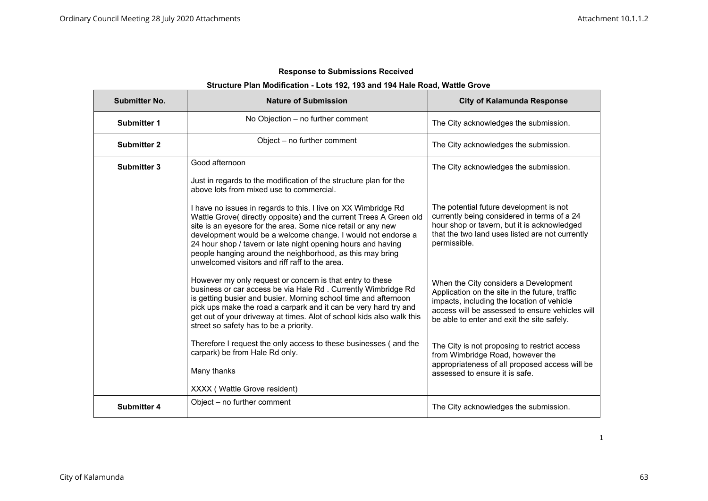# **Structure Plan Modification - Lots 192, 193 and 194 Hale Road, Wattle Grove**

| <b>Submitter No.</b> | <b>Nature of Submission</b>                                                                                                                                                                                                                                                                                                                                                                                                                         | <b>City of Kalamunda Response</b>                                                                                                                                                                                                      |
|----------------------|-----------------------------------------------------------------------------------------------------------------------------------------------------------------------------------------------------------------------------------------------------------------------------------------------------------------------------------------------------------------------------------------------------------------------------------------------------|----------------------------------------------------------------------------------------------------------------------------------------------------------------------------------------------------------------------------------------|
| <b>Submitter 1</b>   | No Objection - no further comment                                                                                                                                                                                                                                                                                                                                                                                                                   | The City acknowledges the submission.                                                                                                                                                                                                  |
| <b>Submitter 2</b>   | Object - no further comment                                                                                                                                                                                                                                                                                                                                                                                                                         | The City acknowledges the submission.                                                                                                                                                                                                  |
| <b>Submitter 3</b>   | Good afternoon<br>Just in regards to the modification of the structure plan for the<br>above lots from mixed use to commercial.                                                                                                                                                                                                                                                                                                                     | The City acknowledges the submission.                                                                                                                                                                                                  |
|                      | I have no issues in regards to this. I live on XX Wimbridge Rd<br>Wattle Grove( directly opposite) and the current Trees A Green old<br>site is an eyesore for the area. Some nice retail or any new<br>development would be a welcome change. I would not endorse a<br>24 hour shop / tavern or late night opening hours and having<br>people hanging around the neighborhood, as this may bring<br>unwelcomed visitors and riff raff to the area. | The potential future development is not<br>currently being considered in terms of a 24<br>hour shop or tavern, but it is acknowledged<br>that the two land uses listed are not currently<br>permissible.                               |
|                      | However my only request or concern is that entry to these<br>business or car access be via Hale Rd. Currently Wimbridge Rd<br>is getting busier and busier. Morning school time and afternoon<br>pick ups make the road a carpark and it can be very hard try and<br>get out of your driveway at times. Alot of school kids also walk this<br>street so safety has to be a priority.                                                                | When the City considers a Development<br>Application on the site in the future, traffic<br>impacts, including the location of vehicle<br>access will be assessed to ensure vehicles will<br>be able to enter and exit the site safely. |
|                      | Therefore I request the only access to these businesses (and the<br>carpark) be from Hale Rd only.<br>Many thanks                                                                                                                                                                                                                                                                                                                                   | The City is not proposing to restrict access<br>from Wimbridge Road, however the<br>appropriateness of all proposed access will be<br>assessed to ensure it is safe.                                                                   |
| <b>Submitter 4</b>   | XXXX (Wattle Grove resident)<br>Object - no further comment                                                                                                                                                                                                                                                                                                                                                                                         | The City acknowledges the submission.                                                                                                                                                                                                  |
|                      |                                                                                                                                                                                                                                                                                                                                                                                                                                                     |                                                                                                                                                                                                                                        |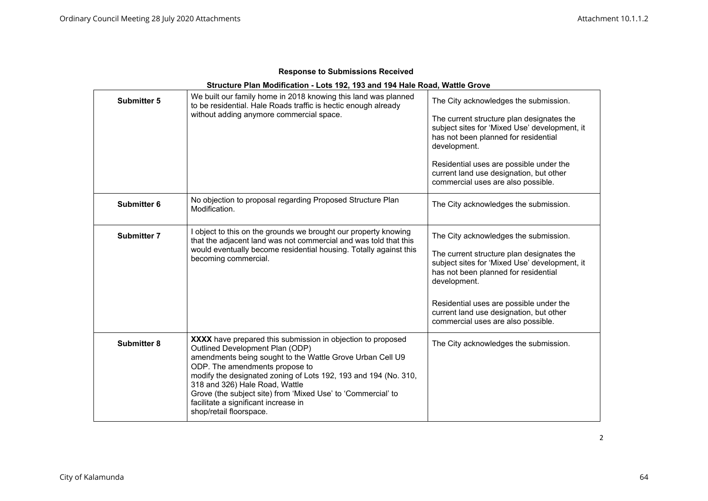| <b>Response to Submissions Received</b> |  |
|-----------------------------------------|--|
|-----------------------------------------|--|

| Structure Plan Modification - Lots 192, 193 and 194 Hale Road, Wattle Grove |                                                                                                                                                                                                                                                                                                                                                                                                                                       |                                                                                                                                                                                                                                                                                                                         |
|-----------------------------------------------------------------------------|---------------------------------------------------------------------------------------------------------------------------------------------------------------------------------------------------------------------------------------------------------------------------------------------------------------------------------------------------------------------------------------------------------------------------------------|-------------------------------------------------------------------------------------------------------------------------------------------------------------------------------------------------------------------------------------------------------------------------------------------------------------------------|
| <b>Submitter 5</b>                                                          | We built our family home in 2018 knowing this land was planned<br>to be residential. Hale Roads traffic is hectic enough already<br>without adding anymore commercial space.                                                                                                                                                                                                                                                          | The City acknowledges the submission.<br>The current structure plan designates the<br>subject sites for 'Mixed Use' development, it<br>has not been planned for residential<br>development.<br>Residential uses are possible under the<br>current land use designation, but other<br>commercial uses are also possible. |
| Submitter 6                                                                 | No objection to proposal regarding Proposed Structure Plan<br>Modification.                                                                                                                                                                                                                                                                                                                                                           | The City acknowledges the submission.                                                                                                                                                                                                                                                                                   |
| <b>Submitter 7</b>                                                          | I object to this on the grounds we brought our property knowing<br>that the adjacent land was not commercial and was told that this<br>would eventually become residential housing. Totally against this<br>becoming commercial.                                                                                                                                                                                                      | The City acknowledges the submission.<br>The current structure plan designates the<br>subject sites for 'Mixed Use' development, it<br>has not been planned for residential<br>development.<br>Residential uses are possible under the<br>current land use designation, but other<br>commercial uses are also possible. |
| <b>Submitter 8</b>                                                          | XXXX have prepared this submission in objection to proposed<br>Outlined Development Plan (ODP)<br>amendments being sought to the Wattle Grove Urban Cell U9<br>ODP. The amendments propose to<br>modify the designated zoning of Lots 192, 193 and 194 (No. 310,<br>318 and 326) Hale Road, Wattle<br>Grove (the subject site) from 'Mixed Use' to 'Commercial' to<br>facilitate a significant increase in<br>shop/retail floorspace. | The City acknowledges the submission.                                                                                                                                                                                                                                                                                   |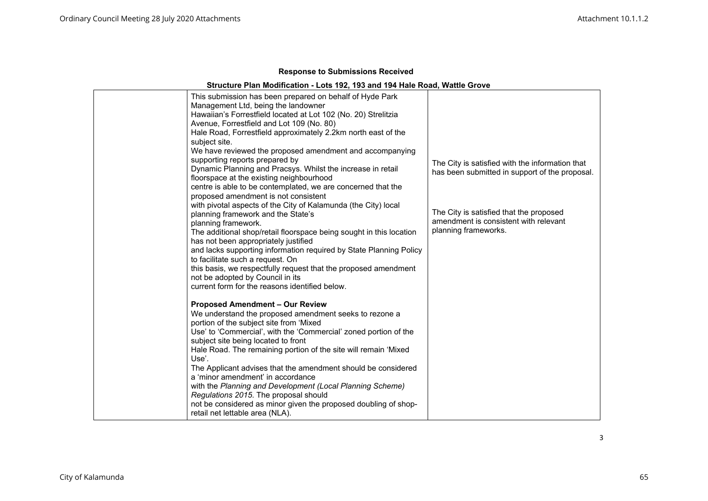# **Structure Plan Modification - Lots 192, 193 and 194 Hale Road, Wattle Grove**

| This submission has been prepared on behalf of Hyde Park<br>Management Ltd, being the landowner<br>Hawaiian's Forrestfield located at Lot 102 (No. 20) Strelitzia<br>Avenue, Forrestfield and Lot 109 (No. 80)<br>Hale Road, Forrestfield approximately 2.2km north east of the<br>subject site.<br>We have reviewed the proposed amendment and accompanying<br>supporting reports prepared by                                                                                                                                                                                                                                                       |                                                                                                          |
|------------------------------------------------------------------------------------------------------------------------------------------------------------------------------------------------------------------------------------------------------------------------------------------------------------------------------------------------------------------------------------------------------------------------------------------------------------------------------------------------------------------------------------------------------------------------------------------------------------------------------------------------------|----------------------------------------------------------------------------------------------------------|
| Dynamic Planning and Pracsys. Whilst the increase in retail<br>floorspace at the existing neighbourhood<br>centre is able to be contemplated, we are concerned that the<br>proposed amendment is not consistent<br>with pivotal aspects of the City of Kalamunda (the City) local                                                                                                                                                                                                                                                                                                                                                                    | The City is satisfied with the information that<br>has been submitted in support of the proposal.        |
| planning framework and the State's<br>planning framework.<br>The additional shop/retail floorspace being sought in this location<br>has not been appropriately justified<br>and lacks supporting information required by State Planning Policy<br>to facilitate such a request. On<br>this basis, we respectfully request that the proposed amendment<br>not be adopted by Council in its<br>current form for the reasons identified below.                                                                                                                                                                                                          | The City is satisfied that the proposed<br>amendment is consistent with relevant<br>planning frameworks. |
| <b>Proposed Amendment - Our Review</b><br>We understand the proposed amendment seeks to rezone a<br>portion of the subject site from 'Mixed<br>Use' to 'Commercial', with the 'Commercial' zoned portion of the<br>subject site being located to front<br>Hale Road. The remaining portion of the site will remain 'Mixed<br>Use'.<br>The Applicant advises that the amendment should be considered<br>a 'minor amendment' in accordance<br>with the Planning and Development (Local Planning Scheme)<br>Regulations 2015. The proposal should<br>not be considered as minor given the proposed doubling of shop-<br>retail net lettable area (NLA). |                                                                                                          |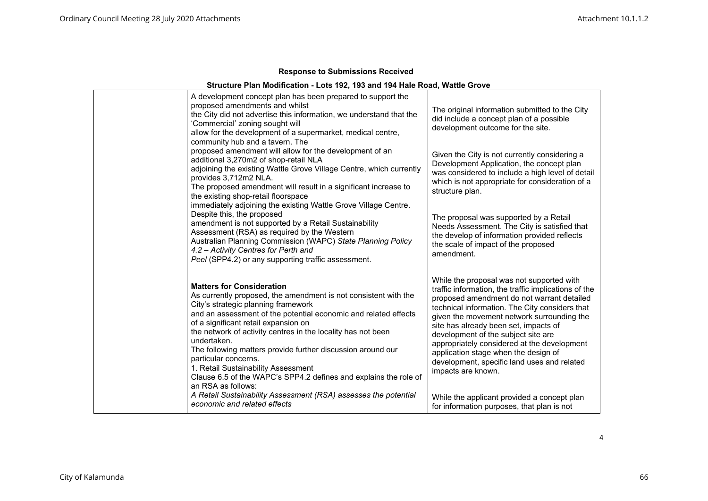# **Structure Plan Modification - Lots 192, 193 and 194 Hale Road, Wattle Grove**

| A development concept plan has been prepared to support the<br>proposed amendments and whilst<br>the City did not advertise this information, we understand that the<br>'Commercial' zoning sought will<br>allow for the development of a supermarket, medical centre,<br>community hub and a tavern. The                                                                                                                                                                                                                                                    | The original information submitted to the City<br>did include a concept plan of a possible<br>development outcome for the site.                                                                                                                                                                                                                                                                                                                                                             |
|--------------------------------------------------------------------------------------------------------------------------------------------------------------------------------------------------------------------------------------------------------------------------------------------------------------------------------------------------------------------------------------------------------------------------------------------------------------------------------------------------------------------------------------------------------------|---------------------------------------------------------------------------------------------------------------------------------------------------------------------------------------------------------------------------------------------------------------------------------------------------------------------------------------------------------------------------------------------------------------------------------------------------------------------------------------------|
| proposed amendment will allow for the development of an<br>additional 3,270m2 of shop-retail NLA<br>adjoining the existing Wattle Grove Village Centre, which currently<br>provides 3,712m2 NLA.<br>The proposed amendment will result in a significant increase to<br>the existing shop-retail floorspace                                                                                                                                                                                                                                                   | Given the City is not currently considering a<br>Development Application, the concept plan<br>was considered to include a high level of detail<br>which is not appropriate for consideration of a<br>structure plan.                                                                                                                                                                                                                                                                        |
| immediately adjoining the existing Wattle Grove Village Centre.<br>Despite this, the proposed<br>amendment is not supported by a Retail Sustainability<br>Assessment (RSA) as required by the Western<br>Australian Planning Commission (WAPC) State Planning Policy<br>4.2 - Activity Centres for Perth and<br>Peel (SPP4.2) or any supporting traffic assessment.                                                                                                                                                                                          | The proposal was supported by a Retail<br>Needs Assessment. The City is satisfied that<br>the develop of information provided reflects<br>the scale of impact of the proposed<br>amendment.                                                                                                                                                                                                                                                                                                 |
| <b>Matters for Consideration</b><br>As currently proposed, the amendment is not consistent with the<br>City's strategic planning framework<br>and an assessment of the potential economic and related effects<br>of a significant retail expansion on<br>the network of activity centres in the locality has not been<br>undertaken.<br>The following matters provide further discussion around our<br>particular concerns.<br>1. Retail Sustainability Assessment<br>Clause 6.5 of the WAPC's SPP4.2 defines and explains the role of<br>an RSA as follows: | While the proposal was not supported with<br>traffic information, the traffic implications of the<br>proposed amendment do not warrant detailed<br>technical information. The City considers that<br>given the movement network surrounding the<br>site has already been set, impacts of<br>development of the subject site are<br>appropriately considered at the development<br>application stage when the design of<br>development, specific land uses and related<br>impacts are known. |
| A Retail Sustainability Assessment (RSA) assesses the potential<br>economic and related effects                                                                                                                                                                                                                                                                                                                                                                                                                                                              | While the applicant provided a concept plan<br>for information purposes, that plan is not                                                                                                                                                                                                                                                                                                                                                                                                   |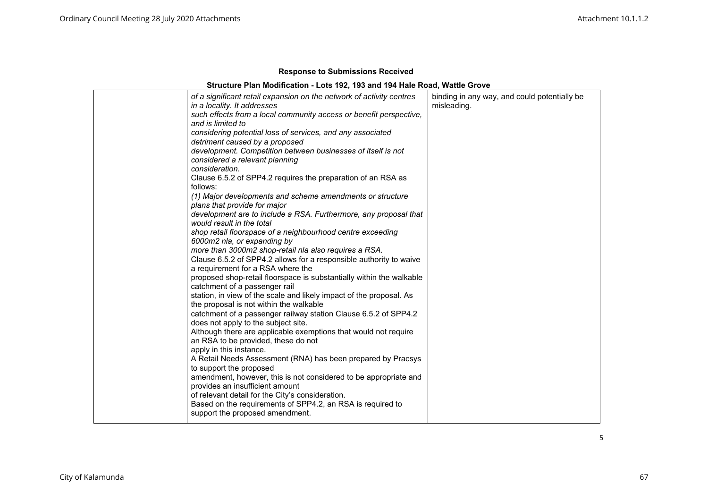| station, in view of the scale and likely impact of the proposal. As<br>the proposal is not within the walkable<br>catchment of a passenger railway station Clause 6.5.2 of SPP4.2<br>does not apply to the subject site.<br>Although there are applicable exemptions that would not require<br>an RSA to be provided, these do not<br>apply in this instance.<br>A Retail Needs Assessment (RNA) has been prepared by Pracsys<br>to support the proposed<br>amendment, however, this is not considered to be appropriate and<br>provides an insufficient amount<br>of relevant detail for the City's consideration.<br>Based on the requirements of SPP4.2, an RSA is required to<br>support the proposed amendment. |  | of a significant retail expansion on the network of activity centres<br>in a locality. It addresses<br>such effects from a local community access or benefit perspective,<br>and is limited to<br>considering potential loss of services, and any associated<br>detriment caused by a proposed<br>development. Competition between businesses of itself is not<br>considered a relevant planning<br>consideration.<br>Clause 6.5.2 of SPP4.2 requires the preparation of an RSA as<br>follows:<br>(1) Major developments and scheme amendments or structure<br>plans that provide for major<br>development are to include a RSA. Furthermore, any proposal that<br>would result in the total<br>shop retail floorspace of a neighbourhood centre exceeding<br>6000m2 nla, or expanding by<br>more than 3000m2 shop-retail nla also requires a RSA.<br>Clause 6.5.2 of SPP4.2 allows for a responsible authority to waive<br>a requirement for a RSA where the<br>proposed shop-retail floorspace is substantially within the walkable<br>catchment of a passenger rail | binding in any way, and could potentially be<br>misleading. |
|----------------------------------------------------------------------------------------------------------------------------------------------------------------------------------------------------------------------------------------------------------------------------------------------------------------------------------------------------------------------------------------------------------------------------------------------------------------------------------------------------------------------------------------------------------------------------------------------------------------------------------------------------------------------------------------------------------------------|--|------------------------------------------------------------------------------------------------------------------------------------------------------------------------------------------------------------------------------------------------------------------------------------------------------------------------------------------------------------------------------------------------------------------------------------------------------------------------------------------------------------------------------------------------------------------------------------------------------------------------------------------------------------------------------------------------------------------------------------------------------------------------------------------------------------------------------------------------------------------------------------------------------------------------------------------------------------------------------------------------------------------------------------------------------------------------|-------------------------------------------------------------|
|----------------------------------------------------------------------------------------------------------------------------------------------------------------------------------------------------------------------------------------------------------------------------------------------------------------------------------------------------------------------------------------------------------------------------------------------------------------------------------------------------------------------------------------------------------------------------------------------------------------------------------------------------------------------------------------------------------------------|--|------------------------------------------------------------------------------------------------------------------------------------------------------------------------------------------------------------------------------------------------------------------------------------------------------------------------------------------------------------------------------------------------------------------------------------------------------------------------------------------------------------------------------------------------------------------------------------------------------------------------------------------------------------------------------------------------------------------------------------------------------------------------------------------------------------------------------------------------------------------------------------------------------------------------------------------------------------------------------------------------------------------------------------------------------------------------|-------------------------------------------------------------|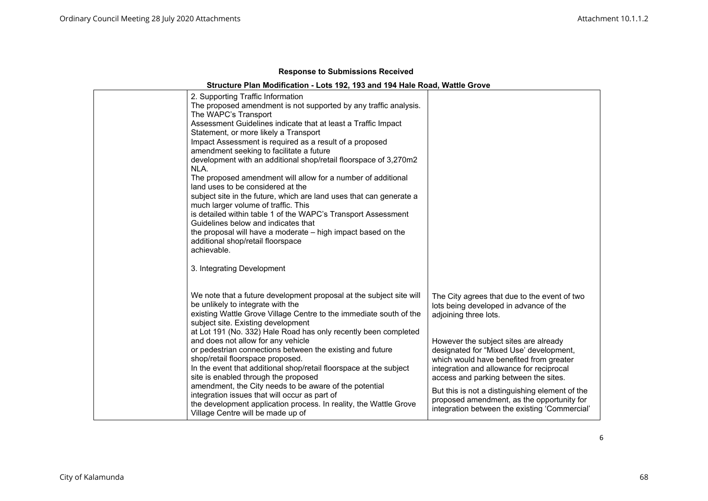# **Structure Plan Modification - Lots 192, 193 and 194 Hale Road, Wattle Grove**

| 2. Supporting Traffic Information<br>The proposed amendment is not supported by any traffic analysis.<br>The WAPC's Transport<br>Assessment Guidelines indicate that at least a Traffic Impact<br>Statement, or more likely a Transport<br>Impact Assessment is required as a result of a proposed<br>amendment seeking to facilitate a future<br>development with an additional shop/retail floorspace of 3,270m2<br>NLA.                  |                                                                                                                                                                                                                  |
|---------------------------------------------------------------------------------------------------------------------------------------------------------------------------------------------------------------------------------------------------------------------------------------------------------------------------------------------------------------------------------------------------------------------------------------------|------------------------------------------------------------------------------------------------------------------------------------------------------------------------------------------------------------------|
| The proposed amendment will allow for a number of additional<br>land uses to be considered at the<br>subject site in the future, which are land uses that can generate a<br>much larger volume of traffic. This<br>is detailed within table 1 of the WAPC's Transport Assessment<br>Guidelines below and indicates that<br>the proposal will have a moderate – high impact based on the<br>additional shop/retail floorspace<br>achievable. |                                                                                                                                                                                                                  |
| 3. Integrating Development                                                                                                                                                                                                                                                                                                                                                                                                                  |                                                                                                                                                                                                                  |
| We note that a future development proposal at the subject site will<br>be unlikely to integrate with the<br>existing Wattle Grove Village Centre to the immediate south of the<br>subject site. Existing development<br>at Lot 191 (No. 332) Hale Road has only recently been completed                                                                                                                                                     | The City agrees that due to the event of two<br>lots being developed in advance of the<br>adjoining three lots.                                                                                                  |
| and does not allow for any vehicle<br>or pedestrian connections between the existing and future<br>shop/retail floorspace proposed.<br>In the event that additional shop/retail floorspace at the subject<br>site is enabled through the proposed                                                                                                                                                                                           | However the subject sites are already<br>designated for "Mixed Use' development,<br>which would have benefited from greater<br>integration and allowance for reciprocal<br>access and parking between the sites. |
| amendment, the City needs to be aware of the potential<br>integration issues that will occur as part of<br>the development application process. In reality, the Wattle Grove<br>Village Centre will be made up of                                                                                                                                                                                                                           | But this is not a distinguishing element of the<br>proposed amendment, as the opportunity for<br>integration between the existing 'Commercial'                                                                   |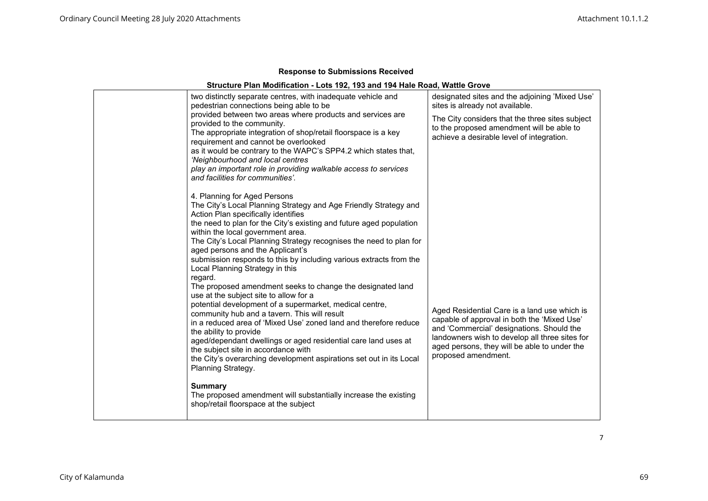# **Structure Plan Modification - Lots 192, 193 and 194 Hale Road, Wattle Grove**

| two distinctly separate centres, with inadequate vehicle and<br>pedestrian connections being able to be                                                                                                                                                                                                                                                                                                                                                                                                                                                                                                                                                                                                                                                                                                                                                                                                                                                                                                  | designated sites and the adjoining 'Mixed Use'<br>sites is already not available.                                                                                                                                                                                 |
|----------------------------------------------------------------------------------------------------------------------------------------------------------------------------------------------------------------------------------------------------------------------------------------------------------------------------------------------------------------------------------------------------------------------------------------------------------------------------------------------------------------------------------------------------------------------------------------------------------------------------------------------------------------------------------------------------------------------------------------------------------------------------------------------------------------------------------------------------------------------------------------------------------------------------------------------------------------------------------------------------------|-------------------------------------------------------------------------------------------------------------------------------------------------------------------------------------------------------------------------------------------------------------------|
| provided between two areas where products and services are<br>provided to the community.<br>The appropriate integration of shop/retail floorspace is a key<br>requirement and cannot be overlooked<br>as it would be contrary to the WAPC's SPP4.2 which states that,<br>'Neighbourhood and local centres<br>play an important role in providing walkable access to services                                                                                                                                                                                                                                                                                                                                                                                                                                                                                                                                                                                                                             | The City considers that the three sites subject<br>to the proposed amendment will be able to<br>achieve a desirable level of integration.                                                                                                                         |
| and facilities for communities'.                                                                                                                                                                                                                                                                                                                                                                                                                                                                                                                                                                                                                                                                                                                                                                                                                                                                                                                                                                         |                                                                                                                                                                                                                                                                   |
| 4. Planning for Aged Persons<br>The City's Local Planning Strategy and Age Friendly Strategy and<br>Action Plan specifically identifies<br>the need to plan for the City's existing and future aged population<br>within the local government area.<br>The City's Local Planning Strategy recognises the need to plan for<br>aged persons and the Applicant's<br>submission responds to this by including various extracts from the<br>Local Planning Strategy in this<br>regard.<br>The proposed amendment seeks to change the designated land<br>use at the subject site to allow for a<br>potential development of a supermarket, medical centre,<br>community hub and a tavern. This will result<br>in a reduced area of 'Mixed Use' zoned land and therefore reduce<br>the ability to provide<br>aged/dependant dwellings or aged residential care land uses at<br>the subject site in accordance with<br>the City's overarching development aspirations set out in its Local<br>Planning Strategy. | Aged Residential Care is a land use which is<br>capable of approval in both the 'Mixed Use'<br>and 'Commercial' designations. Should the<br>landowners wish to develop all three sites for<br>aged persons, they will be able to under the<br>proposed amendment. |
| <b>Summary</b><br>The proposed amendment will substantially increase the existing<br>shop/retail floorspace at the subject                                                                                                                                                                                                                                                                                                                                                                                                                                                                                                                                                                                                                                                                                                                                                                                                                                                                               |                                                                                                                                                                                                                                                                   |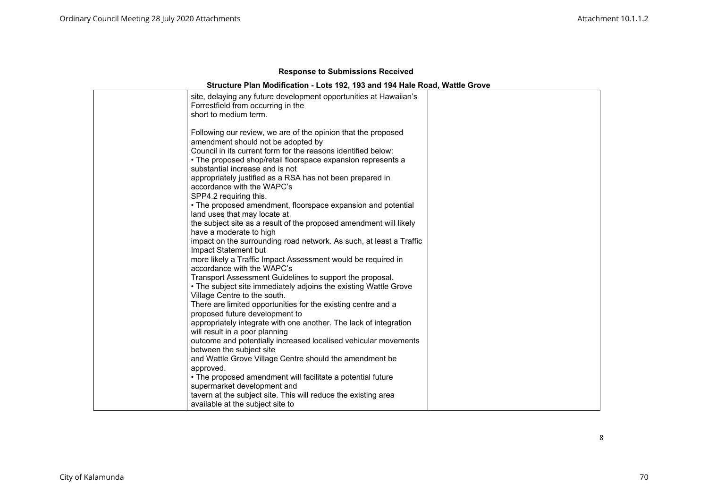# **Structure Plan Modification - Lots 192, 193 and 194 Hale Road, Wattle Grove**

| site, delaying any future development opportunities at Hawaiian's<br>Forrestfield from occurring in the<br>short to medium term.                                                                                                                                                                                                                                                                                                                             |  |
|--------------------------------------------------------------------------------------------------------------------------------------------------------------------------------------------------------------------------------------------------------------------------------------------------------------------------------------------------------------------------------------------------------------------------------------------------------------|--|
| Following our review, we are of the opinion that the proposed<br>amendment should not be adopted by<br>Council in its current form for the reasons identified below:<br>• The proposed shop/retail floorspace expansion represents a<br>substantial increase and is not<br>appropriately justified as a RSA has not been prepared in<br>accordance with the WAPC's<br>SPP4.2 requiring this.<br>• The proposed amendment, floorspace expansion and potential |  |
| land uses that may locate at<br>the subject site as a result of the proposed amendment will likely<br>have a moderate to high<br>impact on the surrounding road network. As such, at least a Traffic<br>Impact Statement but<br>more likely a Traffic Impact Assessment would be required in<br>accordance with the WAPC's                                                                                                                                   |  |
| Transport Assessment Guidelines to support the proposal.<br>• The subject site immediately adjoins the existing Wattle Grove<br>Village Centre to the south.<br>There are limited opportunities for the existing centre and a<br>proposed future development to<br>appropriately integrate with one another. The lack of integration                                                                                                                         |  |
| will result in a poor planning<br>outcome and potentially increased localised vehicular movements<br>between the subject site<br>and Wattle Grove Village Centre should the amendment be<br>approved.<br>. The proposed amendment will facilitate a potential future<br>supermarket development and<br>tavern at the subject site. This will reduce the existing area                                                                                        |  |
| available at the subject site to                                                                                                                                                                                                                                                                                                                                                                                                                             |  |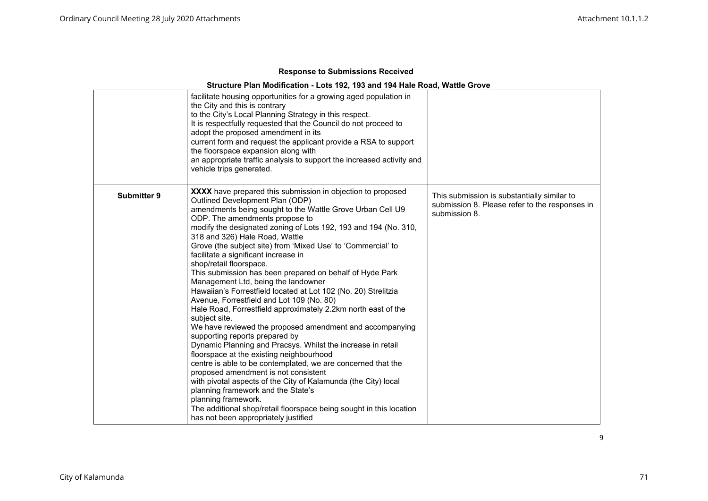|                    | facilitate housing opportunities for a growing aged population in<br>the City and this is contrary<br>to the City's Local Planning Strategy in this respect.<br>It is respectfully requested that the Council do not proceed to<br>adopt the proposed amendment in its<br>current form and request the applicant provide a RSA to support<br>the floorspace expansion along with<br>an appropriate traffic analysis to support the increased activity and<br>vehicle trips generated.                                                                                                                                                                                                                                                                                                                                                                                                                                                                                                                                                                                                                                                                                                                                                                                                                           |                                                                                                                |
|--------------------|-----------------------------------------------------------------------------------------------------------------------------------------------------------------------------------------------------------------------------------------------------------------------------------------------------------------------------------------------------------------------------------------------------------------------------------------------------------------------------------------------------------------------------------------------------------------------------------------------------------------------------------------------------------------------------------------------------------------------------------------------------------------------------------------------------------------------------------------------------------------------------------------------------------------------------------------------------------------------------------------------------------------------------------------------------------------------------------------------------------------------------------------------------------------------------------------------------------------------------------------------------------------------------------------------------------------|----------------------------------------------------------------------------------------------------------------|
| <b>Submitter 9</b> | <b>XXXX</b> have prepared this submission in objection to proposed<br>Outlined Development Plan (ODP)<br>amendments being sought to the Wattle Grove Urban Cell U9<br>ODP. The amendments propose to<br>modify the designated zoning of Lots 192, 193 and 194 (No. 310,<br>318 and 326) Hale Road, Wattle<br>Grove (the subject site) from 'Mixed Use' to 'Commercial' to<br>facilitate a significant increase in<br>shop/retail floorspace.<br>This submission has been prepared on behalf of Hyde Park<br>Management Ltd, being the landowner<br>Hawaiian's Forrestfield located at Lot 102 (No. 20) Strelitzia<br>Avenue, Forrestfield and Lot 109 (No. 80)<br>Hale Road, Forrestfield approximately 2.2km north east of the<br>subject site.<br>We have reviewed the proposed amendment and accompanying<br>supporting reports prepared by<br>Dynamic Planning and Pracsys. Whilst the increase in retail<br>floorspace at the existing neighbourhood<br>centre is able to be contemplated, we are concerned that the<br>proposed amendment is not consistent<br>with pivotal aspects of the City of Kalamunda (the City) local<br>planning framework and the State's<br>planning framework.<br>The additional shop/retail floorspace being sought in this location<br>has not been appropriately justified | This submission is substantially similar to<br>submission 8. Please refer to the responses in<br>submission 8. |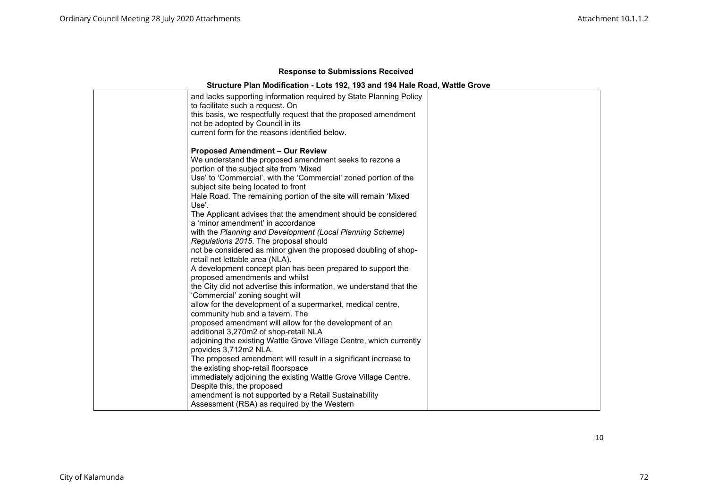|  | <b>Response to Submissions Received</b> |  |
|--|-----------------------------------------|--|
|--|-----------------------------------------|--|

# **Structure Plan Modification - Lots 192, 193 and 194 Hale Road, Wattle Grove**

| and lacks supporting information required by State Planning Policy<br>to facilitate such a request. On<br>this basis, we respectfully request that the proposed amendment<br>not be adopted by Council in its<br>current form for the reasons identified below.                                                                                                                                                                                                                                                       |  |
|-----------------------------------------------------------------------------------------------------------------------------------------------------------------------------------------------------------------------------------------------------------------------------------------------------------------------------------------------------------------------------------------------------------------------------------------------------------------------------------------------------------------------|--|
| <b>Proposed Amendment - Our Review</b><br>We understand the proposed amendment seeks to rezone a<br>portion of the subject site from 'Mixed<br>Use' to 'Commercial', with the 'Commercial' zoned portion of the<br>subject site being located to front<br>Hale Road. The remaining portion of the site will remain 'Mixed<br>Use'.<br>The Applicant advises that the amendment should be considered<br>a 'minor amendment' in accordance                                                                              |  |
| with the Planning and Development (Local Planning Scheme)<br>Regulations 2015. The proposal should<br>not be considered as minor given the proposed doubling of shop-<br>retail net lettable area (NLA).<br>A development concept plan has been prepared to support the<br>proposed amendments and whilst<br>the City did not advertise this information, we understand that the<br>'Commercial' zoning sought will<br>allow for the development of a supermarket, medical centre,<br>community hub and a tavern. The |  |
| proposed amendment will allow for the development of an<br>additional 3,270m2 of shop-retail NLA<br>adjoining the existing Wattle Grove Village Centre, which currently<br>provides 3,712m2 NLA.<br>The proposed amendment will result in a significant increase to<br>the existing shop-retail floorspace<br>immediately adjoining the existing Wattle Grove Village Centre.<br>Despite this, the proposed<br>amendment is not supported by a Retail Sustainability<br>Assessment (RSA) as required by the Western   |  |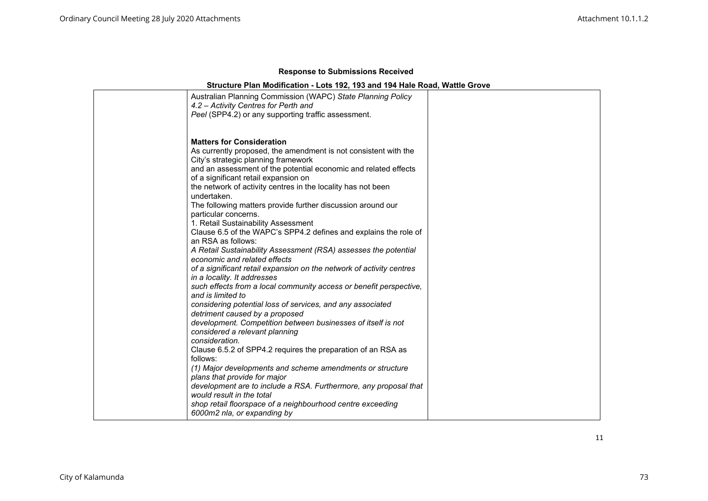|  |  | <b>Response to Submissions Received</b> |  |
|--|--|-----------------------------------------|--|
|--|--|-----------------------------------------|--|

| Australian Planning Commission (WAPC) State Planning Policy<br>4.2 – Activity Centres for Perth and<br>Peel (SPP4.2) or any supporting traffic assessment.                                                                                                                                                                                                                                                                                                                                                                                                                                                                                                                                                                                                                                                                                                                                                                                                                                                                                                                                                                                                                                                                                                     |  |
|----------------------------------------------------------------------------------------------------------------------------------------------------------------------------------------------------------------------------------------------------------------------------------------------------------------------------------------------------------------------------------------------------------------------------------------------------------------------------------------------------------------------------------------------------------------------------------------------------------------------------------------------------------------------------------------------------------------------------------------------------------------------------------------------------------------------------------------------------------------------------------------------------------------------------------------------------------------------------------------------------------------------------------------------------------------------------------------------------------------------------------------------------------------------------------------------------------------------------------------------------------------|--|
| <b>Matters for Consideration</b><br>As currently proposed, the amendment is not consistent with the<br>City's strategic planning framework<br>and an assessment of the potential economic and related effects<br>of a significant retail expansion on<br>the network of activity centres in the locality has not been<br>undertaken.<br>The following matters provide further discussion around our<br>particular concerns.<br>1. Retail Sustainability Assessment<br>Clause 6.5 of the WAPC's SPP4.2 defines and explains the role of<br>an RSA as follows:<br>A Retail Sustainability Assessment (RSA) assesses the potential<br>economic and related effects<br>of a significant retail expansion on the network of activity centres<br>in a locality. It addresses<br>such effects from a local community access or benefit perspective,<br>and is limited to<br>considering potential loss of services, and any associated<br>detriment caused by a proposed<br>development. Competition between businesses of itself is not<br>considered a relevant planning<br>consideration.<br>Clause 6.5.2 of SPP4.2 requires the preparation of an RSA as<br>follows:<br>(1) Major developments and scheme amendments or structure<br>plans that provide for major |  |
| development are to include a RSA. Furthermore, any proposal that<br>would result in the total<br>shop retail floorspace of a neighbourhood centre exceeding<br>6000m2 nla, or expanding by                                                                                                                                                                                                                                                                                                                                                                                                                                                                                                                                                                                                                                                                                                                                                                                                                                                                                                                                                                                                                                                                     |  |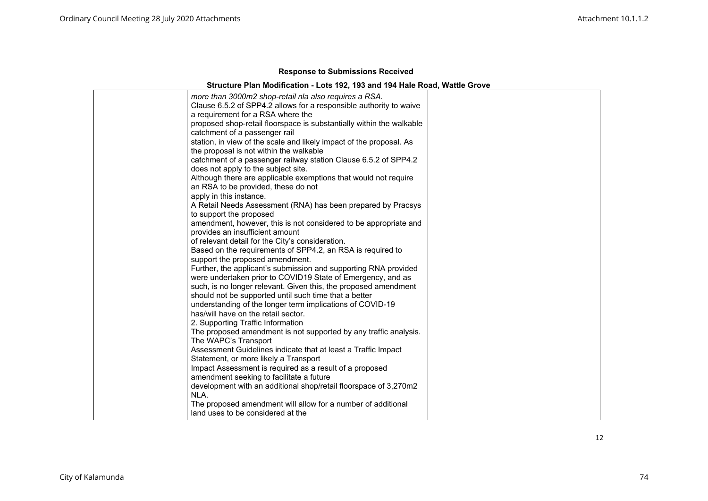| more than 3000m2 shop-retail nla also requires a RSA.                |
|----------------------------------------------------------------------|
| Clause 6.5.2 of SPP4.2 allows for a responsible authority to waive   |
| a requirement for a RSA where the                                    |
| proposed shop-retail floorspace is substantially within the walkable |
| catchment of a passenger rail                                        |
| station, in view of the scale and likely impact of the proposal. As  |
| the proposal is not within the walkable                              |
| catchment of a passenger railway station Clause 6.5.2 of SPP4.2      |
| does not apply to the subject site.                                  |
| Although there are applicable exemptions that would not require      |
| an RSA to be provided, these do not                                  |
| apply in this instance.                                              |
| A Retail Needs Assessment (RNA) has been prepared by Pracsys         |
| to support the proposed                                              |
| amendment, however, this is not considered to be appropriate and     |
| provides an insufficient amount                                      |
| of relevant detail for the City's consideration.                     |
| Based on the requirements of SPP4.2, an RSA is required to           |
| support the proposed amendment.                                      |
| Further, the applicant's submission and supporting RNA provided      |
| were undertaken prior to COVID19 State of Emergency, and as          |
| such, is no longer relevant. Given this, the proposed amendment      |
| should not be supported until such time that a better                |
| understanding of the longer term implications of COVID-19            |
| has/will have on the retail sector.                                  |
| 2. Supporting Traffic Information                                    |
| The proposed amendment is not supported by any traffic analysis.     |
| The WAPC's Transport                                                 |
| Assessment Guidelines indicate that at least a Traffic Impact        |
| Statement, or more likely a Transport                                |
| Impact Assessment is required as a result of a proposed              |
| amendment seeking to facilitate a future                             |
| development with an additional shop/retail floorspace of 3,270m2     |
| NLA.                                                                 |
| The proposed amendment will allow for a number of additional         |
| land uses to be considered at the                                    |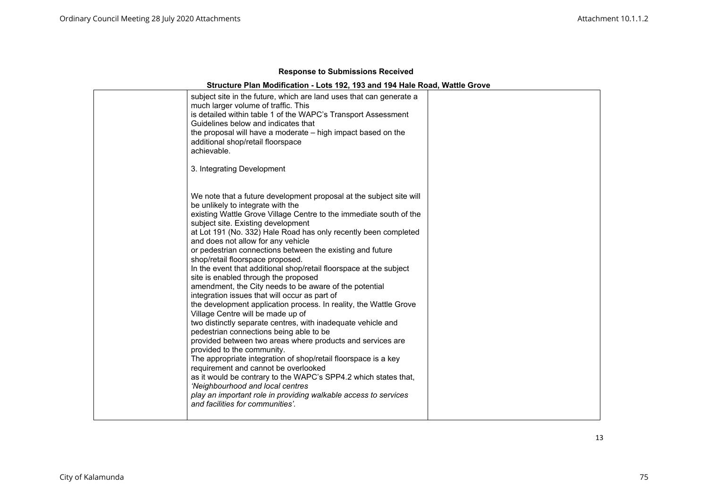| subject site in the future, which are land uses that can generate a<br>much larger volume of traffic. This<br>is detailed within table 1 of the WAPC's Transport Assessment<br>Guidelines below and indicates that<br>the proposal will have a moderate - high impact based on the<br>additional shop/retail floorspace<br>achievable.<br>3. Integrating Development                                                                                                                                                                                                                                                                                                                                                                                                                                                                                                                                                                                                                                                                                                                                                                                                                                                                                                                             |  |
|--------------------------------------------------------------------------------------------------------------------------------------------------------------------------------------------------------------------------------------------------------------------------------------------------------------------------------------------------------------------------------------------------------------------------------------------------------------------------------------------------------------------------------------------------------------------------------------------------------------------------------------------------------------------------------------------------------------------------------------------------------------------------------------------------------------------------------------------------------------------------------------------------------------------------------------------------------------------------------------------------------------------------------------------------------------------------------------------------------------------------------------------------------------------------------------------------------------------------------------------------------------------------------------------------|--|
| We note that a future development proposal at the subject site will<br>be unlikely to integrate with the<br>existing Wattle Grove Village Centre to the immediate south of the<br>subject site. Existing development<br>at Lot 191 (No. 332) Hale Road has only recently been completed<br>and does not allow for any vehicle<br>or pedestrian connections between the existing and future<br>shop/retail floorspace proposed.<br>In the event that additional shop/retail floorspace at the subject<br>site is enabled through the proposed<br>amendment, the City needs to be aware of the potential<br>integration issues that will occur as part of<br>the development application process. In reality, the Wattle Grove<br>Village Centre will be made up of<br>two distinctly separate centres, with inadequate vehicle and<br>pedestrian connections being able to be<br>provided between two areas where products and services are<br>provided to the community.<br>The appropriate integration of shop/retail floorspace is a key<br>requirement and cannot be overlooked<br>as it would be contrary to the WAPC's SPP4.2 which states that,<br>'Neighbourhood and local centres<br>play an important role in providing walkable access to services<br>and facilities for communities'. |  |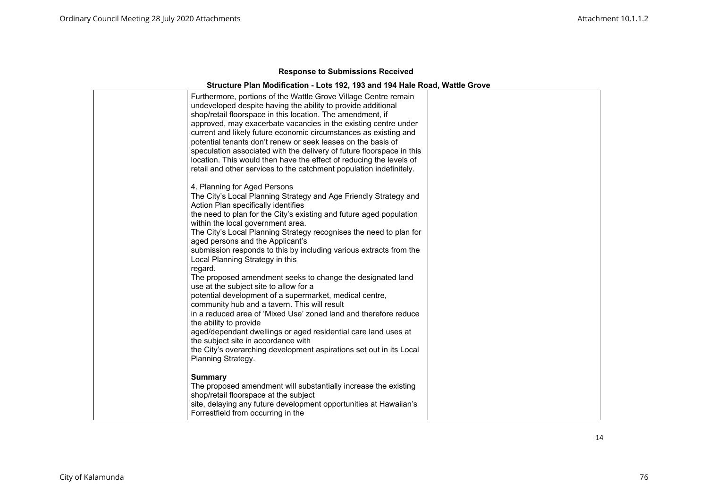# **Structure Plan Modification - Lots 192, 193 and 194 Hale Road, Wattle Grove**

| 4. Planning for Aged Persons<br>The City's Local Planning Strategy and Age Friendly Strategy and<br>Action Plan specifically identifies<br>the need to plan for the City's existing and future aged population<br>within the local government area.<br>The City's Local Planning Strategy recognises the need to plan for<br>aged persons and the Applicant's<br>submission responds to this by including various extracts from the<br>Local Planning Strategy in this<br>regard.<br>The proposed amendment seeks to change the designated land<br>use at the subject site to allow for a<br>potential development of a supermarket, medical centre,<br>community hub and a tavern. This will result<br>in a reduced area of 'Mixed Use' zoned land and therefore reduce<br>the ability to provide<br>aged/dependant dwellings or aged residential care land uses at<br>the subject site in accordance with<br>the City's overarching development aspirations set out in its Local<br>Planning Strategy. | Furthermore, portions of the Wattle Grove Village Centre remain<br>undeveloped despite having the ability to provide additional<br>shop/retail floorspace in this location. The amendment, if<br>approved, may exacerbate vacancies in the existing centre under<br>current and likely future economic circumstances as existing and<br>potential tenants don't renew or seek leases on the basis of<br>speculation associated with the delivery of future floorspace in this<br>location. This would then have the effect of reducing the levels of<br>retail and other services to the catchment population indefinitely. |  |
|----------------------------------------------------------------------------------------------------------------------------------------------------------------------------------------------------------------------------------------------------------------------------------------------------------------------------------------------------------------------------------------------------------------------------------------------------------------------------------------------------------------------------------------------------------------------------------------------------------------------------------------------------------------------------------------------------------------------------------------------------------------------------------------------------------------------------------------------------------------------------------------------------------------------------------------------------------------------------------------------------------|-----------------------------------------------------------------------------------------------------------------------------------------------------------------------------------------------------------------------------------------------------------------------------------------------------------------------------------------------------------------------------------------------------------------------------------------------------------------------------------------------------------------------------------------------------------------------------------------------------------------------------|--|
|                                                                                                                                                                                                                                                                                                                                                                                                                                                                                                                                                                                                                                                                                                                                                                                                                                                                                                                                                                                                          |                                                                                                                                                                                                                                                                                                                                                                                                                                                                                                                                                                                                                             |  |
| <b>Summary</b><br>The proposed amendment will substantially increase the existing<br>shop/retail floorspace at the subject<br>site, delaying any future development opportunities at Hawaiian's                                                                                                                                                                                                                                                                                                                                                                                                                                                                                                                                                                                                                                                                                                                                                                                                          |                                                                                                                                                                                                                                                                                                                                                                                                                                                                                                                                                                                                                             |  |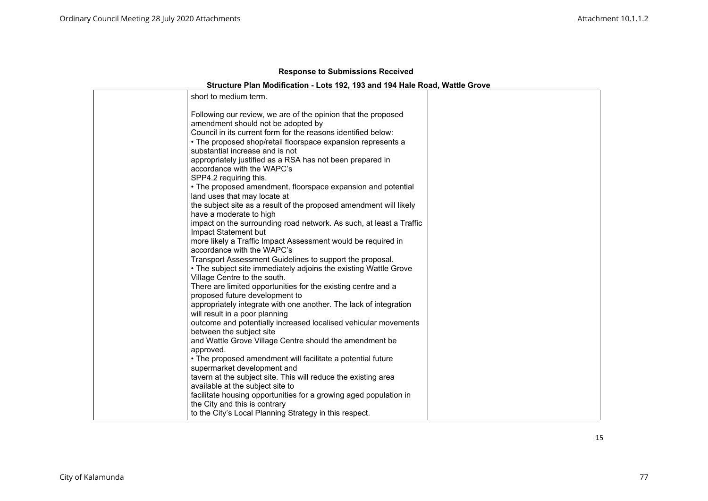# **Structure Plan Modification - Lots 192, 193 and 194 Hale Road, Wattle Grove**

| short to medium term.                                                                               |  |
|-----------------------------------------------------------------------------------------------------|--|
| Following our review, we are of the opinion that the proposed<br>amendment should not be adopted by |  |
| Council in its current form for the reasons identified below:                                       |  |
| • The proposed shop/retail floorspace expansion represents a                                        |  |
| substantial increase and is not                                                                     |  |
| appropriately justified as a RSA has not been prepared in                                           |  |
| accordance with the WAPC's                                                                          |  |
| SPP4.2 requiring this.                                                                              |  |
| • The proposed amendment, floorspace expansion and potential<br>land uses that may locate at        |  |
| the subject site as a result of the proposed amendment will likely                                  |  |
| have a moderate to high                                                                             |  |
| impact on the surrounding road network. As such, at least a Traffic                                 |  |
| Impact Statement but                                                                                |  |
| more likely a Traffic Impact Assessment would be required in                                        |  |
| accordance with the WAPC's                                                                          |  |
| Transport Assessment Guidelines to support the proposal.                                            |  |
| • The subject site immediately adjoins the existing Wattle Grove                                    |  |
| Village Centre to the south.                                                                        |  |
| There are limited opportunities for the existing centre and a                                       |  |
| proposed future development to                                                                      |  |
| appropriately integrate with one another. The lack of integration                                   |  |
| will result in a poor planning<br>outcome and potentially increased localised vehicular movements   |  |
| between the subject site                                                                            |  |
| and Wattle Grove Village Centre should the amendment be                                             |  |
| approved.                                                                                           |  |
| • The proposed amendment will facilitate a potential future                                         |  |
| supermarket development and                                                                         |  |
| tavern at the subject site. This will reduce the existing area                                      |  |
| available at the subject site to                                                                    |  |
| facilitate housing opportunities for a growing aged population in                                   |  |
| the City and this is contrary                                                                       |  |
| to the City's Local Planning Strategy in this respect.                                              |  |